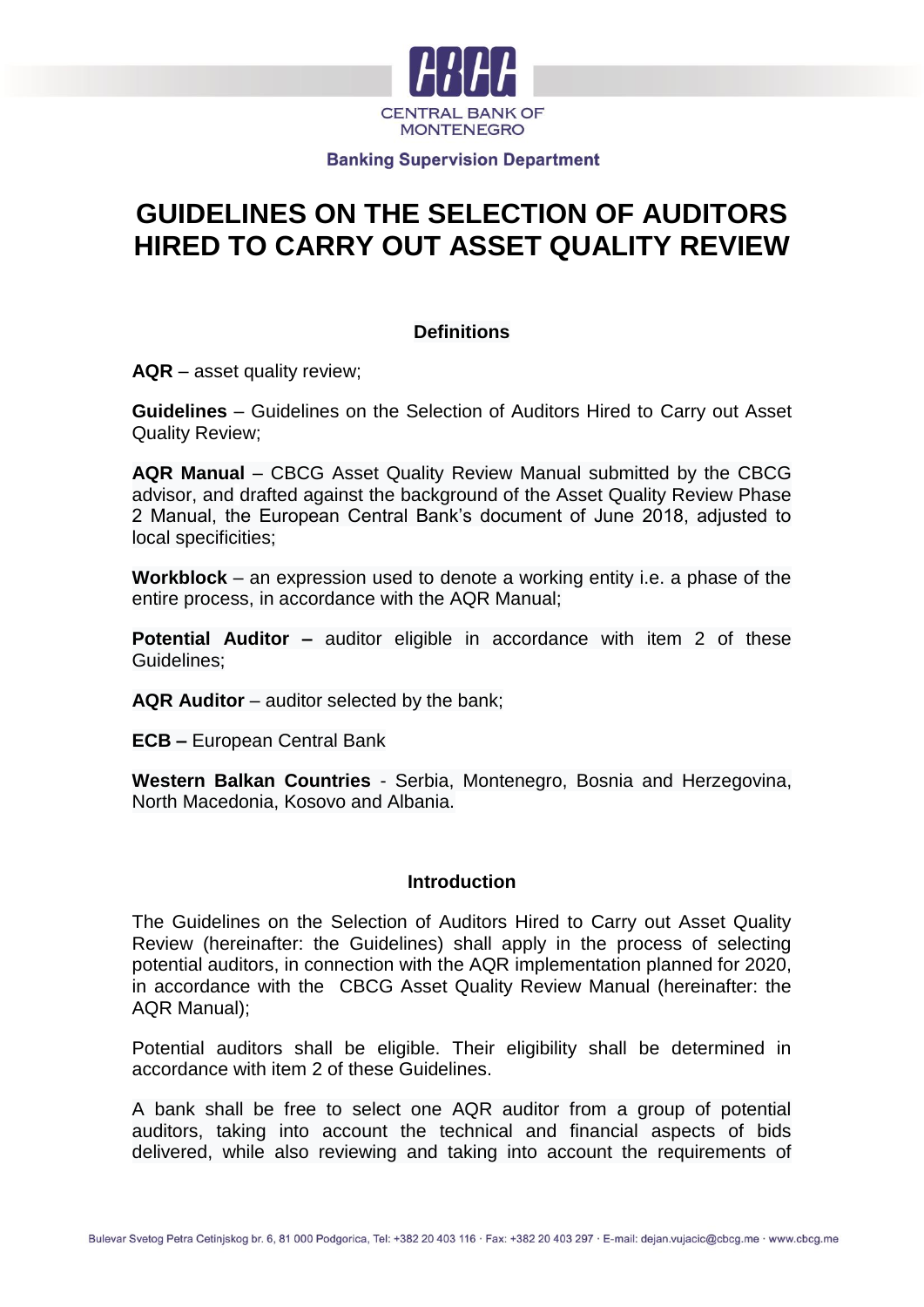

# **GUIDELINES ON THE SELECTION OF AUDITORS HIRED TO CARRY OUT ASSET QUALITY REVIEW**

# **Definitions**

**AQR** – asset quality review;

**Guidelines** – Guidelines on the Selection of Auditors Hired to Carry out Asset Quality Review;

**AQR Manual** – CBCG Asset Quality Review Manual submitted by the CBCG advisor, and drafted against the background of the Asset Quality Review Phase 2 Manual, the European Central Bank's document of June 2018, adjusted to local specificities;

**Workblock** – an expression used to denote a working entity i.e. a phase of the entire process, in accordance with the AQR Manual;

**Potential Auditor –** auditor eligible in accordance with item 2 of these Guidelines;

**AQR Auditor** – auditor selected by the bank;

**ECB –** European Central Bank

**Western Balkan Countries** - Serbia, Montenegro, Bosnia and Herzegovina, North Macedonia, Kosovo and Albania.

## **Introduction**

The Guidelines on the Selection of Auditors Hired to Carry out Asset Quality Review (hereinafter: the Guidelines) shall apply in the process of selecting potential auditors, in connection with the AQR implementation planned for 2020, in accordance with the CBCG Asset Quality Review Manual (hereinafter: the AQR Manual);

Potential auditors shall be eligible. Their eligibility shall be determined in accordance with item 2 of these Guidelines.

A bank shall be free to select one AQR auditor from a group of potential auditors, taking into account the technical and financial aspects of bids delivered, while also reviewing and taking into account the requirements of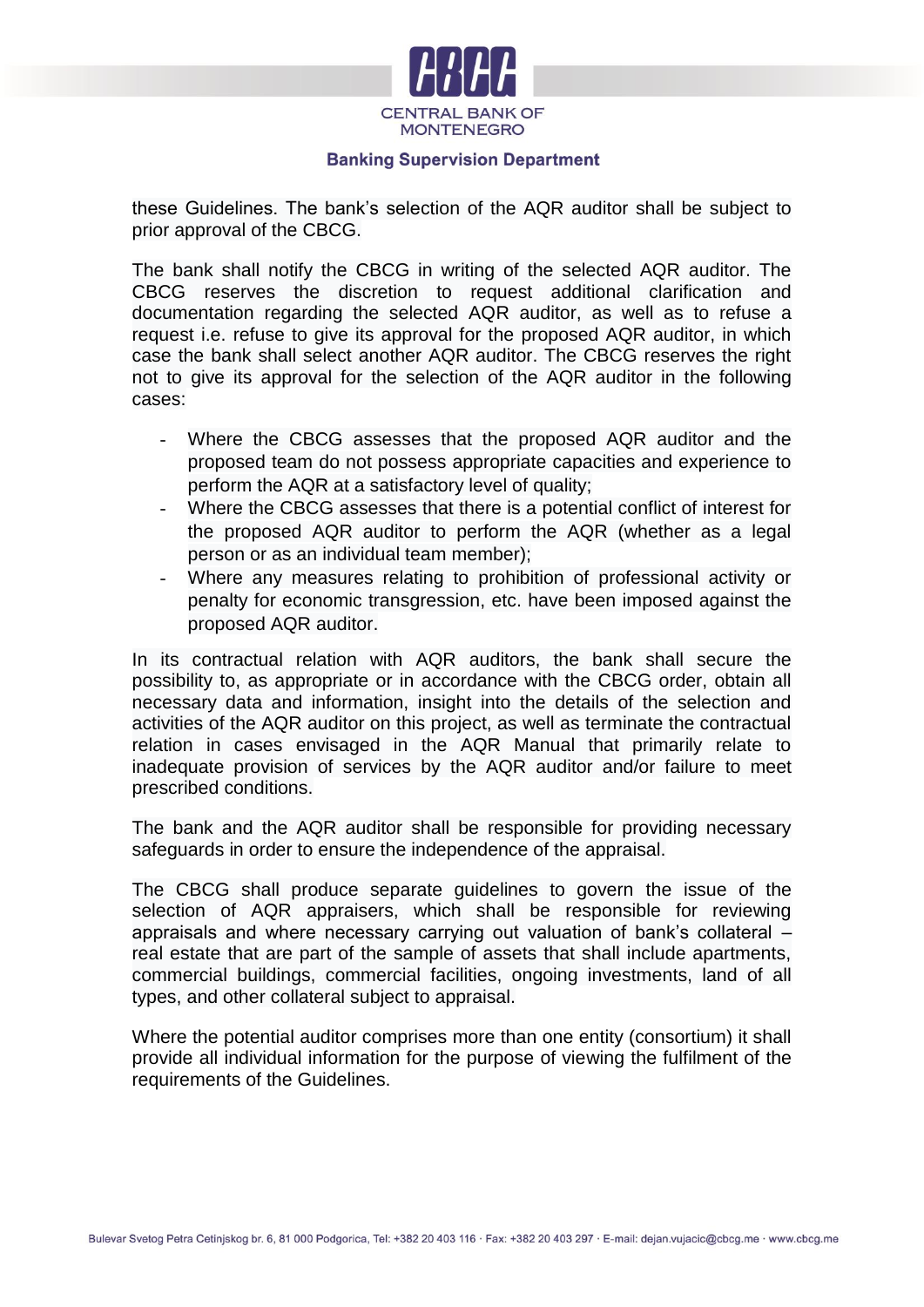

these Guidelines. The bank's selection of the AQR auditor shall be subject to prior approval of the CBCG.

The bank shall notify the CBCG in writing of the selected AQR auditor. The CBCG reserves the discretion to request additional clarification and documentation regarding the selected AQR auditor, as well as to refuse a request i.e. refuse to give its approval for the proposed AQR auditor, in which case the bank shall select another AQR auditor. The CBCG reserves the right not to give its approval for the selection of the AQR auditor in the following cases:

- Where the CBCG assesses that the proposed AQR auditor and the proposed team do not possess appropriate capacities and experience to perform the AQR at a satisfactory level of quality;
- Where the CBCG assesses that there is a potential conflict of interest for the proposed AQR auditor to perform the AQR (whether as a legal person or as an individual team member);
- Where any measures relating to prohibition of professional activity or penalty for economic transgression, etc. have been imposed against the proposed AQR auditor.

In its contractual relation with AQR auditors, the bank shall secure the possibility to, as appropriate or in accordance with the CBCG order, obtain all necessary data and information, insight into the details of the selection and activities of the AQR auditor on this project, as well as terminate the contractual relation in cases envisaged in the AQR Manual that primarily relate to inadequate provision of services by the AQR auditor and/or failure to meet prescribed conditions.

The bank and the AQR auditor shall be responsible for providing necessary safeguards in order to ensure the independence of the appraisal.

The CBCG shall produce separate guidelines to govern the issue of the selection of AQR appraisers, which shall be responsible for reviewing appraisals and where necessary carrying out valuation of bank's collateral – real estate that are part of the sample of assets that shall include apartments, commercial buildings, commercial facilities, ongoing investments, land of all types, and other collateral subject to appraisal.

Where the potential auditor comprises more than one entity (consortium) it shall provide all individual information for the purpose of viewing the fulfilment of the requirements of the Guidelines.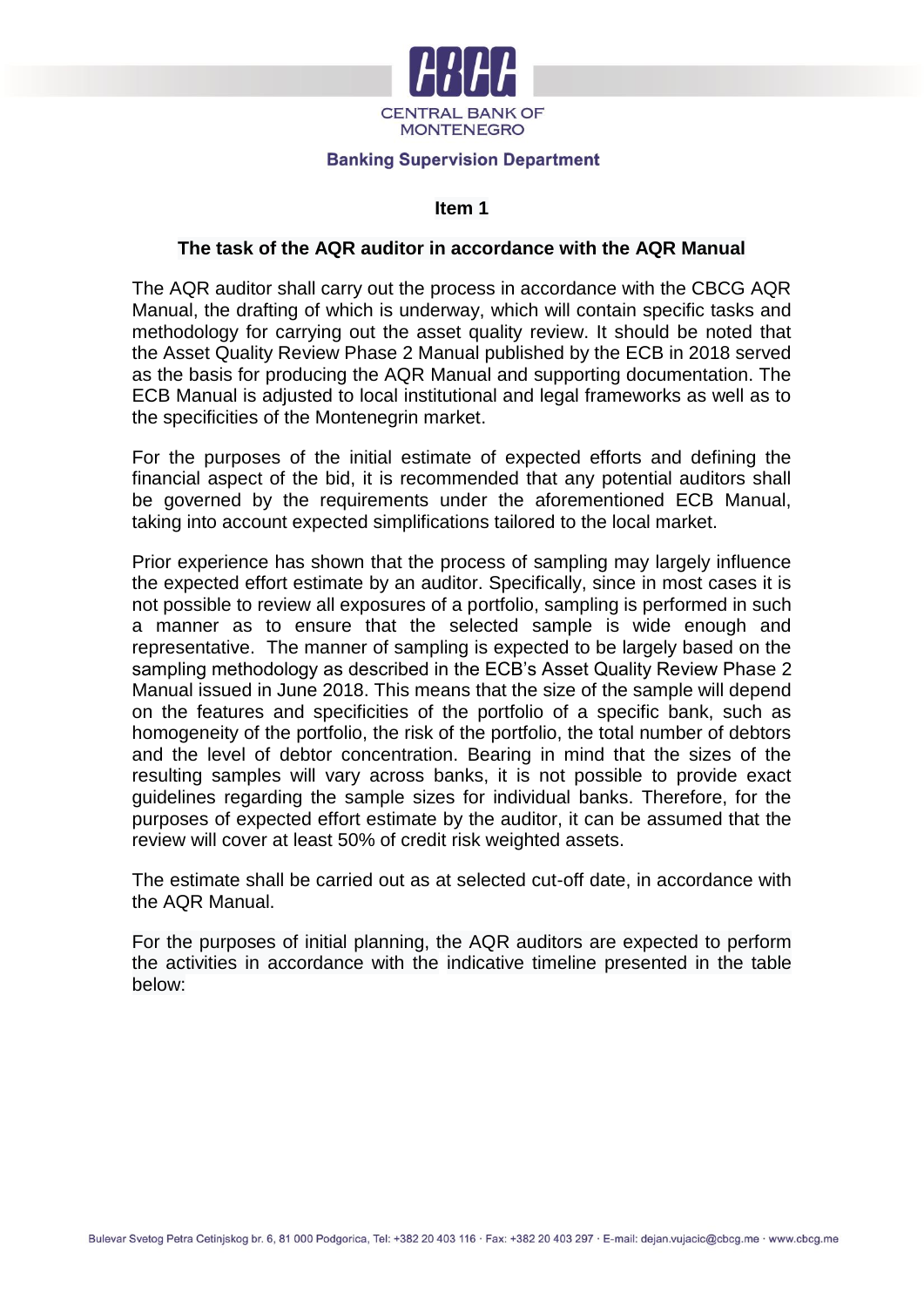

## **Item 1**

#### **The task of the AQR auditor in accordance with the AQR Manual**

The AQR auditor shall carry out the process in accordance with the CBCG AQR Manual, the drafting of which is underway, which will contain specific tasks and methodology for carrying out the asset quality review. It should be noted that the Asset Quality Review Phase 2 Manual published by the ECB in 2018 served as the basis for producing the AQR Manual and supporting documentation. The ECB Manual is adjusted to local institutional and legal frameworks as well as to the specificities of the Montenegrin market.

For the purposes of the initial estimate of expected efforts and defining the financial aspect of the bid, it is recommended that any potential auditors shall be governed by the requirements under the aforementioned ECB Manual, taking into account expected simplifications tailored to the local market.

Prior experience has shown that the process of sampling may largely influence the expected effort estimate by an auditor. Specifically, since in most cases it is not possible to review all exposures of a portfolio, sampling is performed in such a manner as to ensure that the selected sample is wide enough and representative. The manner of sampling is expected to be largely based on the sampling methodology as described in the ECB's Asset Quality Review Phase 2 Manual issued in June 2018. This means that the size of the sample will depend on the features and specificities of the portfolio of a specific bank, such as homogeneity of the portfolio, the risk of the portfolio, the total number of debtors and the level of debtor concentration. Bearing in mind that the sizes of the resulting samples will vary across banks, it is not possible to provide exact guidelines regarding the sample sizes for individual banks. Therefore, for the purposes of expected effort estimate by the auditor, it can be assumed that the review will cover at least 50% of credit risk weighted assets.

The estimate shall be carried out as at selected cut-off date, in accordance with the AQR Manual.

For the purposes of initial planning, the AQR auditors are expected to perform the activities in accordance with the indicative timeline presented in the table below: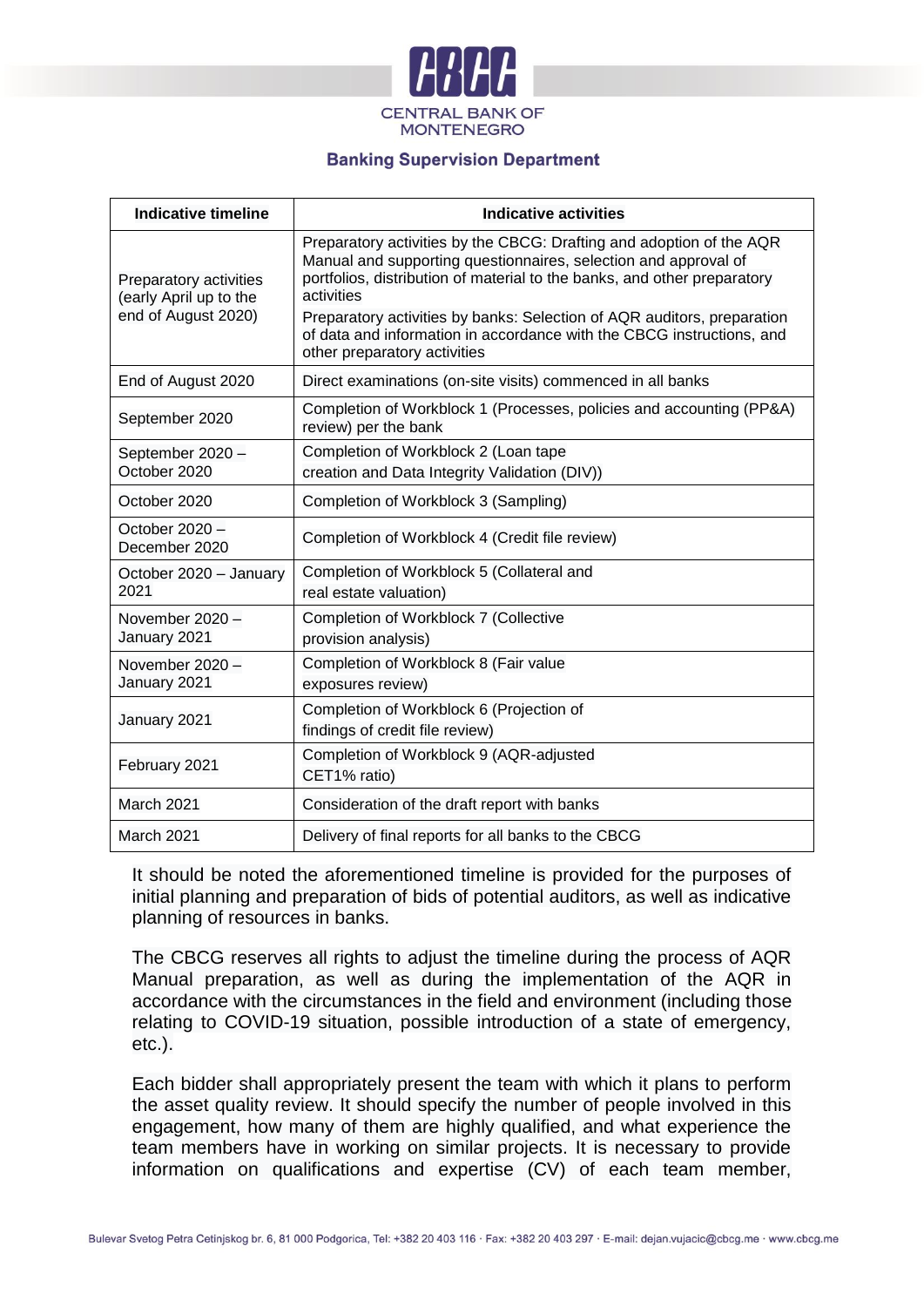

| Indicative timeline                              | Indicative activities                                                                                                                                                                                                             |  |  |  |  |
|--------------------------------------------------|-----------------------------------------------------------------------------------------------------------------------------------------------------------------------------------------------------------------------------------|--|--|--|--|
| Preparatory activities<br>(early April up to the | Preparatory activities by the CBCG: Drafting and adoption of the AQR<br>Manual and supporting questionnaires, selection and approval of<br>portfolios, distribution of material to the banks, and other preparatory<br>activities |  |  |  |  |
| end of August 2020)                              | Preparatory activities by banks: Selection of AQR auditors, preparation<br>of data and information in accordance with the CBCG instructions, and<br>other preparatory activities                                                  |  |  |  |  |
| End of August 2020                               | Direct examinations (on-site visits) commenced in all banks                                                                                                                                                                       |  |  |  |  |
| September 2020                                   | Completion of Workblock 1 (Processes, policies and accounting (PP&A)<br>review) per the bank                                                                                                                                      |  |  |  |  |
| September 2020 -                                 | Completion of Workblock 2 (Loan tape                                                                                                                                                                                              |  |  |  |  |
| October 2020                                     | creation and Data Integrity Validation (DIV))                                                                                                                                                                                     |  |  |  |  |
| October 2020                                     | Completion of Workblock 3 (Sampling)                                                                                                                                                                                              |  |  |  |  |
| October 2020 -<br>December 2020                  | Completion of Workblock 4 (Credit file review)                                                                                                                                                                                    |  |  |  |  |
| October 2020 - January<br>2021                   | Completion of Workblock 5 (Collateral and<br>real estate valuation)                                                                                                                                                               |  |  |  |  |
| November 2020 -                                  | Completion of Workblock 7 (Collective                                                                                                                                                                                             |  |  |  |  |
| January 2021                                     | provision analysis)                                                                                                                                                                                                               |  |  |  |  |
| November 2020 -<br>January 2021                  | Completion of Workblock 8 (Fair value<br>exposures review)                                                                                                                                                                        |  |  |  |  |
| January 2021                                     | Completion of Workblock 6 (Projection of<br>findings of credit file review)                                                                                                                                                       |  |  |  |  |
| February 2021                                    | Completion of Workblock 9 (AQR-adjusted<br>CET1% ratio)                                                                                                                                                                           |  |  |  |  |
| March 2021                                       | Consideration of the draft report with banks                                                                                                                                                                                      |  |  |  |  |
| <b>March 2021</b>                                | Delivery of final reports for all banks to the CBCG                                                                                                                                                                               |  |  |  |  |

It should be noted the aforementioned timeline is provided for the purposes of initial planning and preparation of bids of potential auditors, as well as indicative planning of resources in banks.

The CBCG reserves all rights to adjust the timeline during the process of AQR Manual preparation, as well as during the implementation of the AQR in accordance with the circumstances in the field and environment (including those relating to COVID-19 situation, possible introduction of a state of emergency, etc.).

Each bidder shall appropriately present the team with which it plans to perform the asset quality review. It should specify the number of people involved in this engagement, how many of them are highly qualified, and what experience the team members have in working on similar projects. It is necessary to provide information on qualifications and expertise (CV) of each team member,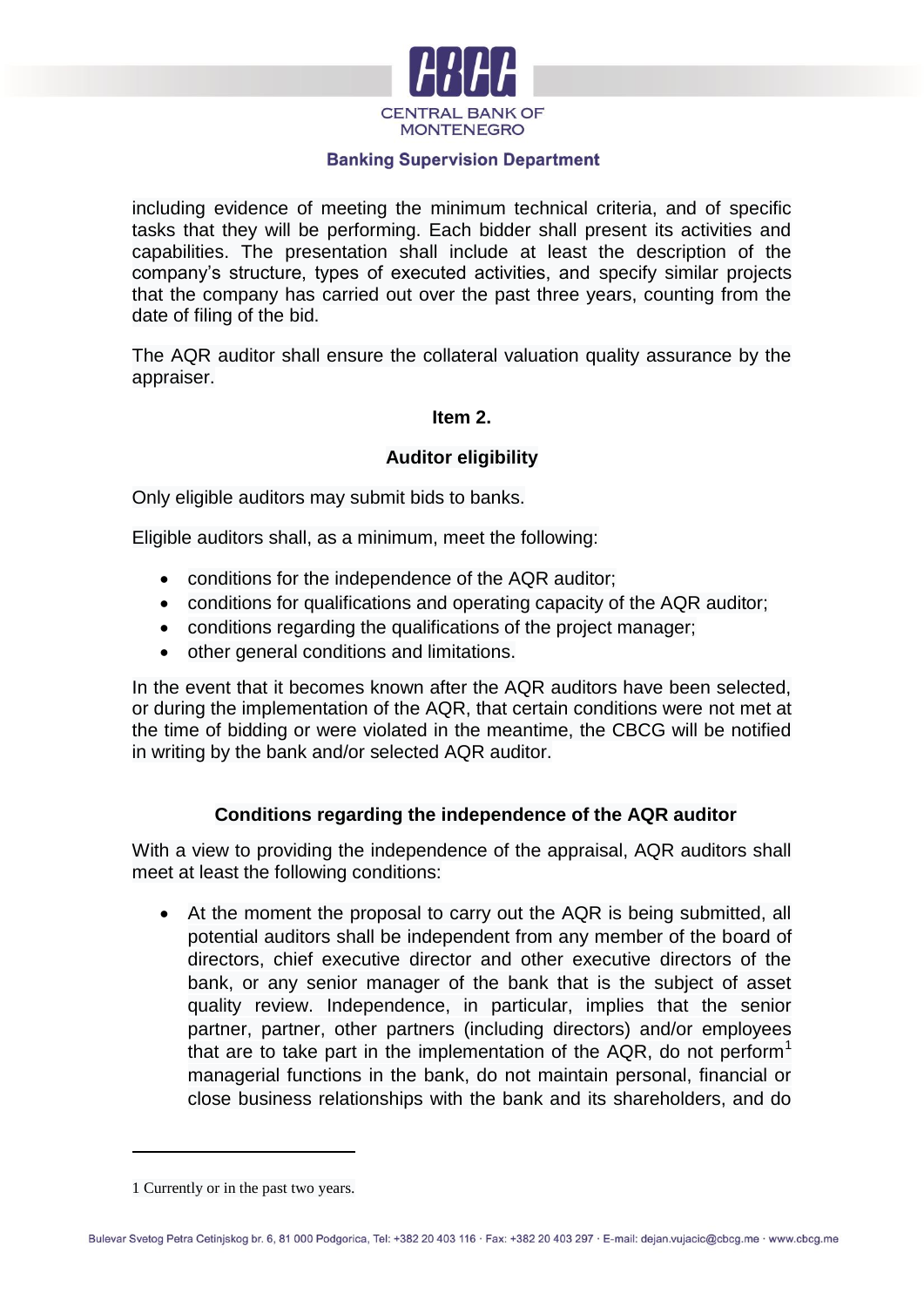

including evidence of meeting the minimum technical criteria, and of specific tasks that they will be performing. Each bidder shall present its activities and capabilities. The presentation shall include at least the description of the company's structure, types of executed activities, and specify similar projects that the company has carried out over the past three years, counting from the date of filing of the bid.

The AQR auditor shall ensure the collateral valuation quality assurance by the appraiser.

# **Item 2.**

# **Auditor eligibility**

Only eligible auditors may submit bids to banks.

Eligible auditors shall, as a minimum, meet the following:

- conditions for the independence of the AQR auditor;
- conditions for qualifications and operating capacity of the AQR auditor;
- conditions regarding the qualifications of the project manager;
- other general conditions and limitations.

In the event that it becomes known after the AQR auditors have been selected, or during the implementation of the AQR, that certain conditions were not met at the time of bidding or were violated in the meantime, the CBCG will be notified in writing by the bank and/or selected AQR auditor.

# **Conditions regarding the independence of the AQR auditor**

With a view to providing the independence of the appraisal, AQR auditors shall meet at least the following conditions:

 At the moment the proposal to carry out the AQR is being submitted, all potential auditors shall be independent from any member of the board of directors, chief executive director and other executive directors of the bank, or any senior manager of the bank that is the subject of asset quality review. Independence, in particular, implies that the senior partner, partner, other partners (including directors) and/or employees that are to take part in the implementation of the AQR, do not perform<sup>1</sup> managerial functions in the bank, do not maintain personal, financial or close business relationships with the bank and its shareholders, and do

<u>.</u>

<sup>1</sup> Currently or in the past two years.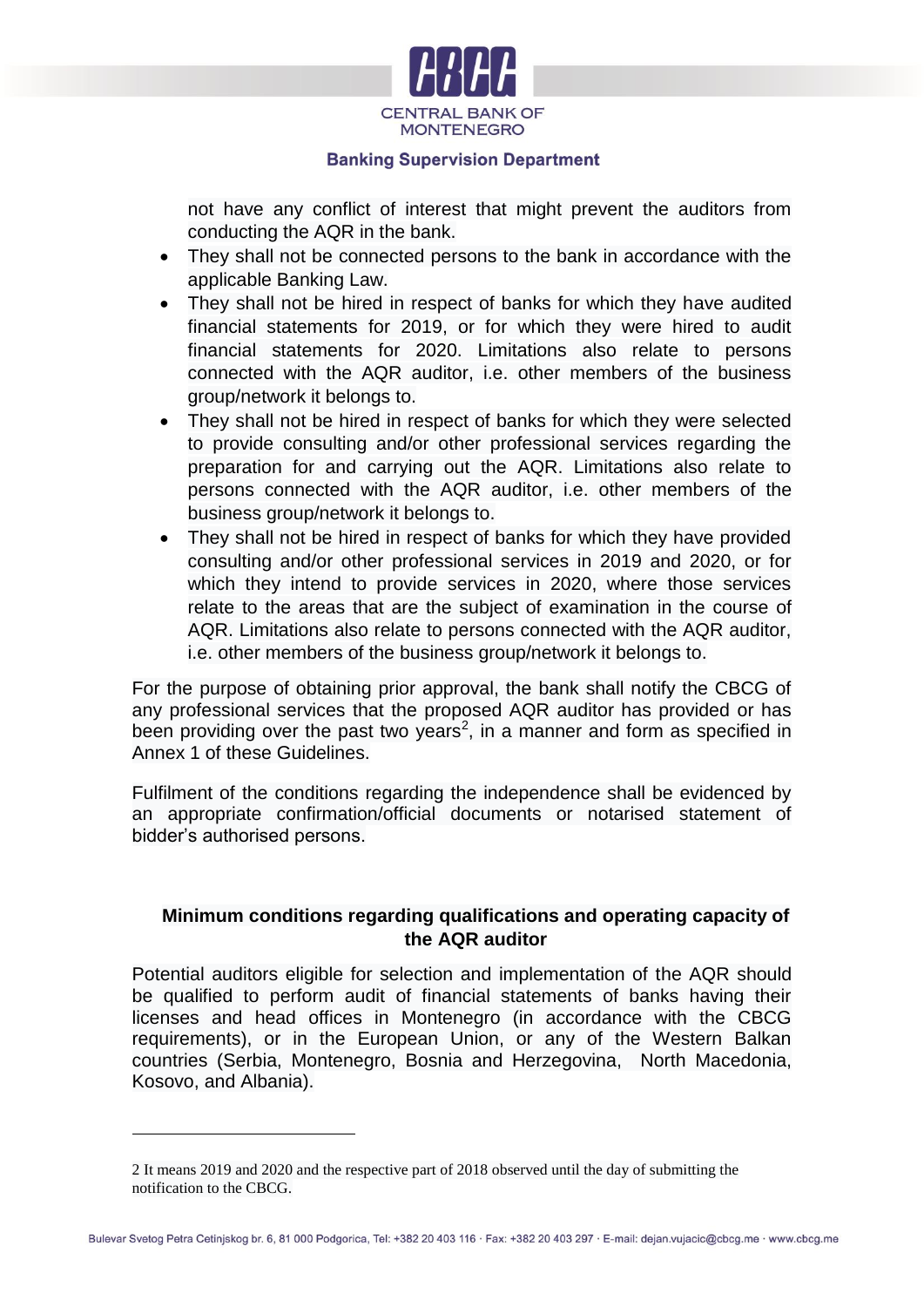

not have any conflict of interest that might prevent the auditors from conducting the AQR in the bank.

- They shall not be connected persons to the bank in accordance with the applicable Banking Law.
- They shall not be hired in respect of banks for which they have audited financial statements for 2019, or for which they were hired to audit financial statements for 2020. Limitations also relate to persons connected with the AQR auditor, i.e. other members of the business group/network it belongs to.
- They shall not be hired in respect of banks for which they were selected to provide consulting and/or other professional services regarding the preparation for and carrying out the AQR. Limitations also relate to persons connected with the AQR auditor, i.e. other members of the business group/network it belongs to.
- They shall not be hired in respect of banks for which they have provided consulting and/or other professional services in 2019 and 2020, or for which they intend to provide services in 2020, where those services relate to the areas that are the subject of examination in the course of AQR. Limitations also relate to persons connected with the AQR auditor, i.e. other members of the business group/network it belongs to.

For the purpose of obtaining prior approval, the bank shall notify the CBCG of any professional services that the proposed AQR auditor has provided or has been providing over the past two years<sup>2</sup>, in a manner and form as specified in Annex 1 of these Guidelines.

Fulfilment of the conditions regarding the independence shall be evidenced by an appropriate confirmation/official documents or notarised statement of bidder's authorised persons.

# **Minimum conditions regarding qualifications and operating capacity of the AQR auditor**

Potential auditors eligible for selection and implementation of the AQR should be qualified to perform audit of financial statements of banks having their licenses and head offices in Montenegro (in accordance with the CBCG requirements), or in the European Union, or any of the Western Balkan countries (Serbia, Montenegro, Bosnia and Herzegovina, North Macedonia, Kosovo, and Albania).

1

<sup>2</sup> It means 2019 and 2020 and the respective part of 2018 observed until the day of submitting the notification to the CBCG.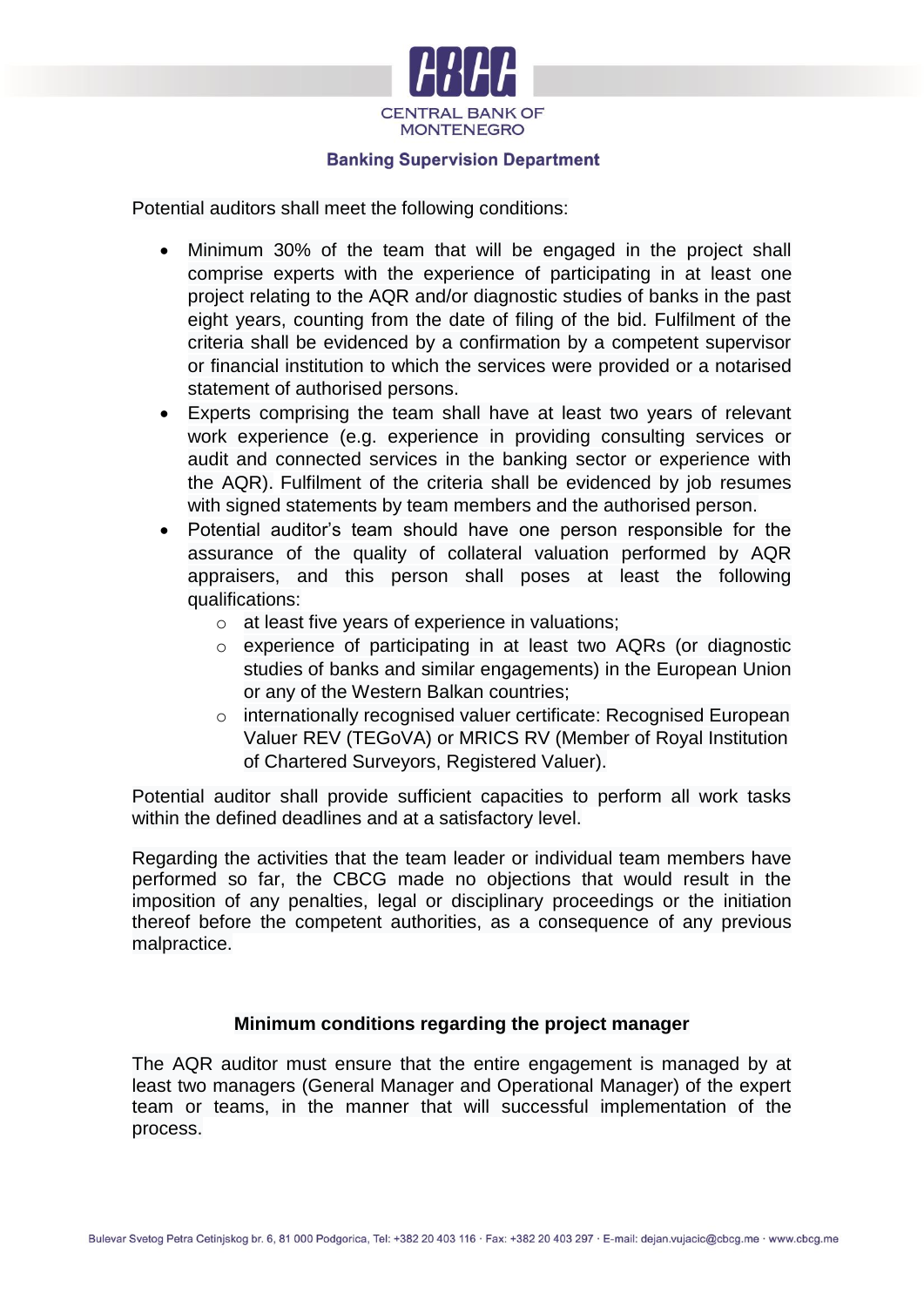

Potential auditors shall meet the following conditions:

- Minimum 30% of the team that will be engaged in the project shall comprise experts with the experience of participating in at least one project relating to the AQR and/or diagnostic studies of banks in the past eight years, counting from the date of filing of the bid. Fulfilment of the criteria shall be evidenced by a confirmation by a competent supervisor or financial institution to which the services were provided or a notarised statement of authorised persons.
- Experts comprising the team shall have at least two years of relevant work experience (e.g. experience in providing consulting services or audit and connected services in the banking sector or experience with the AQR). Fulfilment of the criteria shall be evidenced by job resumes with signed statements by team members and the authorised person.
- Potential auditor's team should have one person responsible for the assurance of the quality of collateral valuation performed by AQR appraisers, and this person shall poses at least the following qualifications:
	- o at least five years of experience in valuations;
	- o experience of participating in at least two AQRs (or diagnostic studies of banks and similar engagements) in the European Union or any of the Western Balkan countries;
	- o internationally recognised valuer certificate: Recognised European Valuer REV (TEGoVA) or MRICS RV (Member of Royal Institution of Chartered Surveyors, Registered Valuer).

Potential auditor shall provide sufficient capacities to perform all work tasks within the defined deadlines and at a satisfactory level.

Regarding the activities that the team leader or individual team members have performed so far, the CBCG made no objections that would result in the imposition of any penalties, legal or disciplinary proceedings or the initiation thereof before the competent authorities, as a consequence of any previous malpractice.

## **Minimum conditions regarding the project manager**

The AQR auditor must ensure that the entire engagement is managed by at least two managers (General Manager and Operational Manager) of the expert team or teams, in the manner that will successful implementation of the process.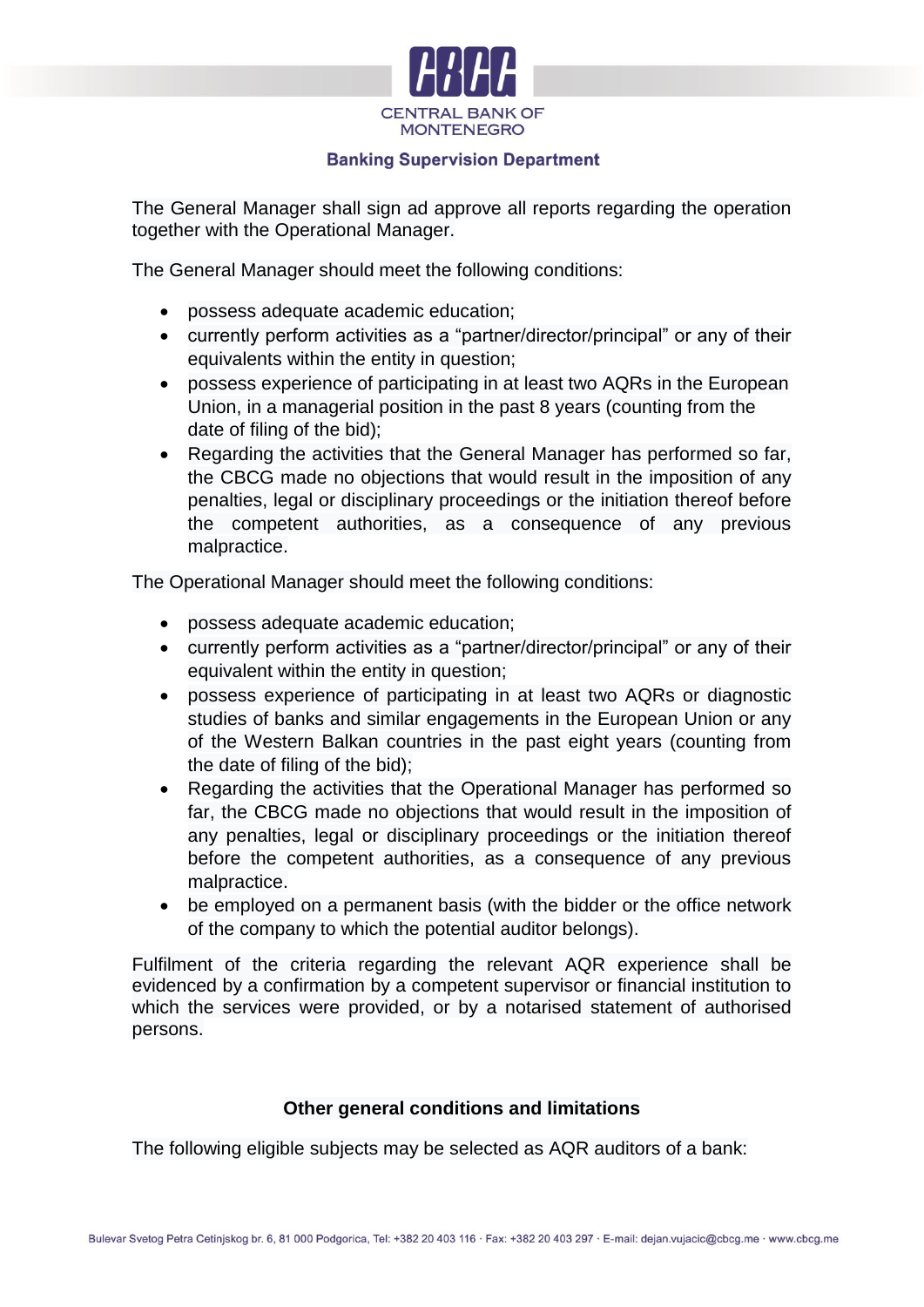

The General Manager shall sign ad approve all reports regarding the operation together with the Operational Manager.

The General Manager should meet the following conditions:

- possess adequate academic education;
- currently perform activities as a "partner/director/principal" or any of their equivalents within the entity in question;
- possess experience of participating in at least two AQRs in the European Union, in a managerial position in the past 8 years (counting from the date of filing of the bid);
- Regarding the activities that the General Manager has performed so far, the CBCG made no objections that would result in the imposition of any penalties, legal or disciplinary proceedings or the initiation thereof before the competent authorities, as a consequence of any previous malpractice.

The Operational Manager should meet the following conditions:

- possess adequate academic education;
- currently perform activities as a "partner/director/principal" or any of their equivalent within the entity in question;
- possess experience of participating in at least two AQRs or diagnostic studies of banks and similar engagements in the European Union or any of the Western Balkan countries in the past eight years (counting from the date of filing of the bid);
- Regarding the activities that the Operational Manager has performed so far, the CBCG made no objections that would result in the imposition of any penalties, legal or disciplinary proceedings or the initiation thereof before the competent authorities, as a consequence of any previous malpractice.
- be employed on a permanent basis (with the bidder or the office network of the company to which the potential auditor belongs).

Fulfilment of the criteria regarding the relevant AQR experience shall be evidenced by a confirmation by a competent supervisor or financial institution to which the services were provided, or by a notarised statement of authorised persons.

## **Other general conditions and limitations**

The following eligible subjects may be selected as AQR auditors of a bank: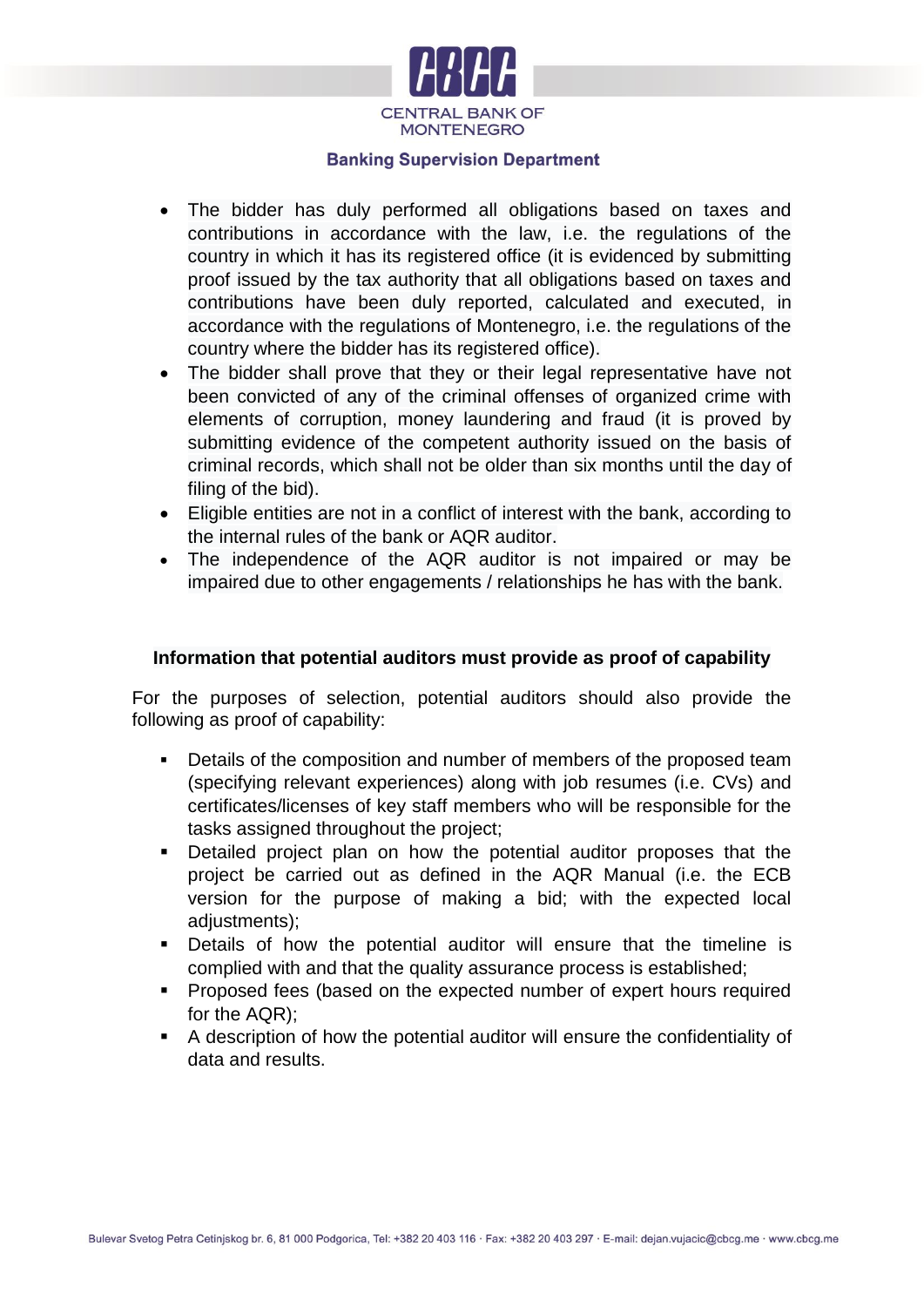

- The bidder has duly performed all obligations based on taxes and contributions in accordance with the law, i.e. the regulations of the country in which it has its registered office (it is evidenced by submitting proof issued by the tax authority that all obligations based on taxes and contributions have been duly reported, calculated and executed, in accordance with the regulations of Montenegro, i.e. the regulations of the country where the bidder has its registered office).
- The bidder shall prove that they or their legal representative have not been convicted of any of the criminal offenses of organized crime with elements of corruption, money laundering and fraud (it is proved by submitting evidence of the competent authority issued on the basis of criminal records, which shall not be older than six months until the day of filing of the bid).
- Eligible entities are not in a conflict of interest with the bank, according to the internal rules of the bank or AQR auditor.
- The independence of the AQR auditor is not impaired or may be impaired due to other engagements / relationships he has with the bank.

# **Information that potential auditors must provide as proof of capability**

For the purposes of selection, potential auditors should also provide the following as proof of capability:

- Details of the composition and number of members of the proposed team (specifying relevant experiences) along with job resumes (i.e. CVs) and certificates/licenses of key staff members who will be responsible for the tasks assigned throughout the project;
- Detailed project plan on how the potential auditor proposes that the project be carried out as defined in the AQR Manual (i.e. the ECB version for the purpose of making a bid; with the expected local adiustments):
- Details of how the potential auditor will ensure that the timeline is complied with and that the quality assurance process is established;
- **Proposed fees (based on the expected number of expert hours required** for the AQR);
- A description of how the potential auditor will ensure the confidentiality of data and results.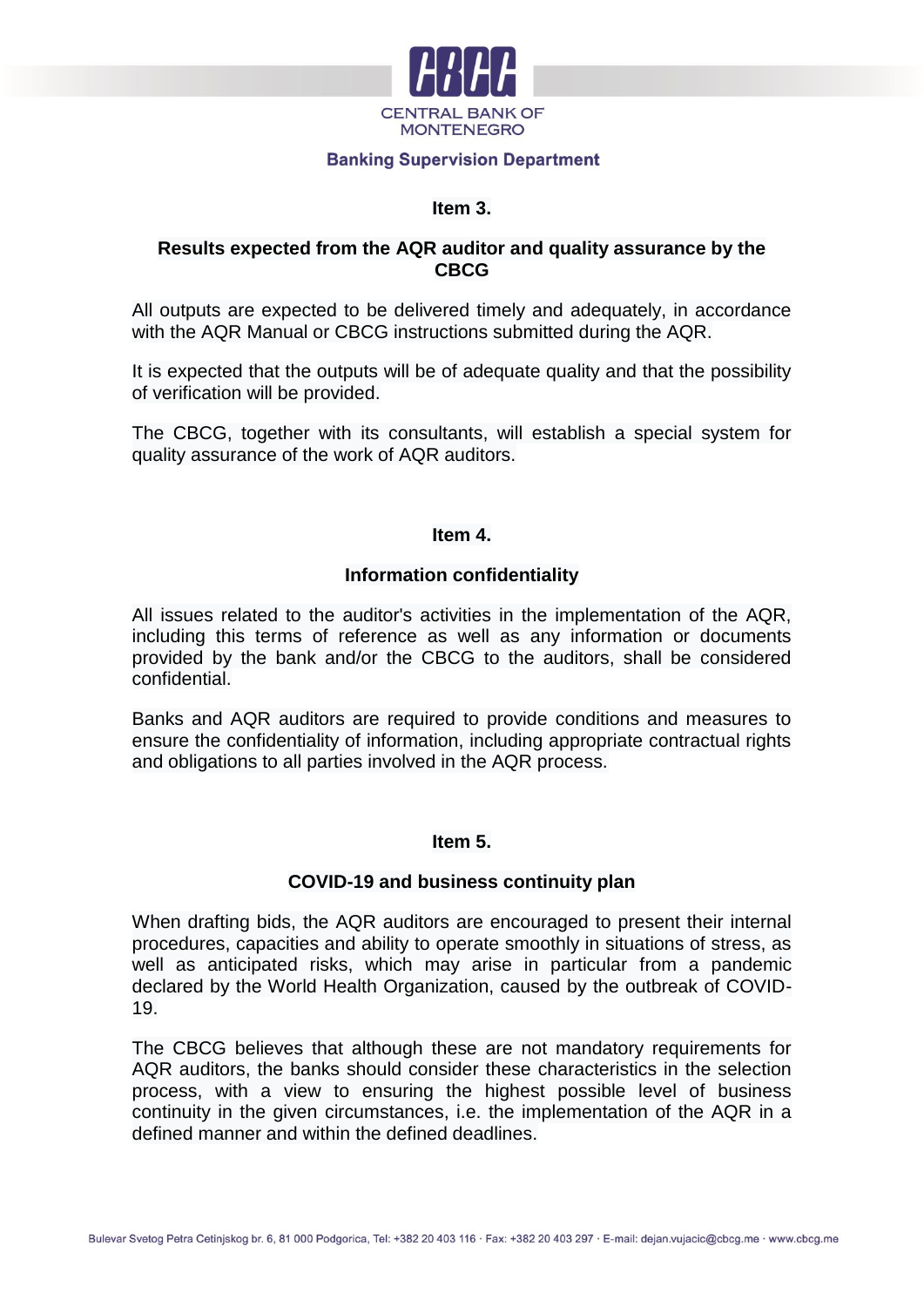

# **Item 3.**

# **Results expected from the AQR auditor and quality assurance by the CBCG**

All outputs are expected to be delivered timely and adequately, in accordance with the AQR Manual or CBCG instructions submitted during the AQR.

It is expected that the outputs will be of adequate quality and that the possibility of verification will be provided.

The CBCG, together with its consultants, will establish a special system for quality assurance of the work of AQR auditors.

#### **Item 4.**

# **Information confidentiality**

All issues related to the auditor's activities in the implementation of the AQR, including this terms of reference as well as any information or documents provided by the bank and/or the CBCG to the auditors, shall be considered confidential.

Banks and AQR auditors are required to provide conditions and measures to ensure the confidentiality of information, including appropriate contractual rights and obligations to all parties involved in the AQR process.

# **Item 5.**

## **COVID-19 and business continuity plan**

When drafting bids, the AQR auditors are encouraged to present their internal procedures, capacities and ability to operate smoothly in situations of stress, as well as anticipated risks, which may arise in particular from a pandemic declared by the World Health Organization, caused by the outbreak of COVID-19.

The CBCG believes that although these are not mandatory requirements for AQR auditors, the banks should consider these characteristics in the selection process, with a view to ensuring the highest possible level of business continuity in the given circumstances, i.e. the implementation of the AQR in a defined manner and within the defined deadlines.